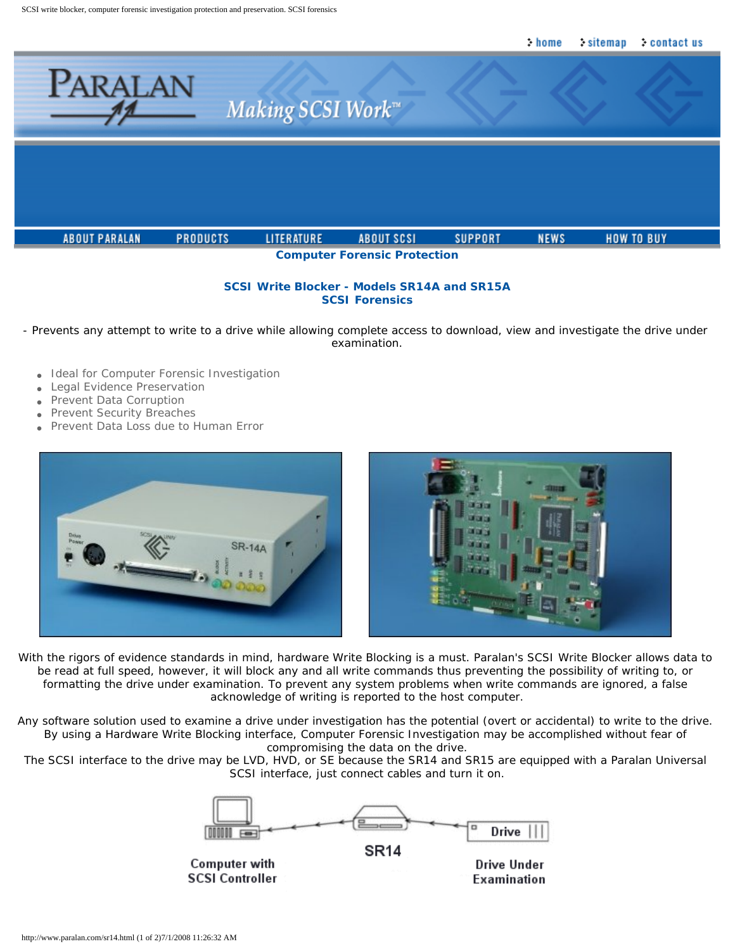

# **SCSI Write Blocker - Models SR14A and SR15A SCSI Forensics**

- Prevents any attempt to write to a drive while allowing complete access to download, view and investigate the drive under examination.

- Ideal for Computer Forensic Investigation
- **Legal Evidence Preservation**
- Prevent Data Corruption
- Prevent Security Breaches
- Prevent Data Loss due to *Human* Error



With the rigors of evidence standards in mind, hardware Write Blocking is a must. Paralan's SCSI Write Blocker allows data to be read at full speed, however, it will block any and all write commands thus preventing the possibility of writing to, or formatting the drive under examination. To prevent any system problems when write commands are ignored, a false acknowledge of writing is reported to the host computer.

Any software solution used to examine a drive under investigation has the potential (overt or accidental) to write to the drive. By using a Hardware Write Blocking interface, Computer Forensic Investigation may be accomplished without fear of compromising the data on the drive.

The SCSI interface to the drive may be LVD, HVD, or SE because the SR14 and SR15 are equipped with a Paralan Universal SCSI interface, just connect cables and turn it on.



**SR14** 

Computer with **SCSI Controller** 

Drive Under Examination